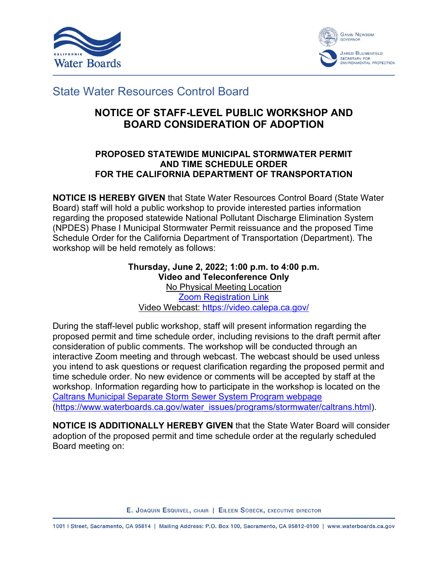



# State Water Resources Control Board

## **NOTICE OF STAFF-LEVEL PUBLIC WORKSHOP AND BOARD CONSIDERATION OF ADOPTION**

#### **PROPOSED STATEWIDE MUNICIPAL STORMWATER PERMIT AND TIME SCHEDULE ORDER FOR THE CALIFORNIA DEPARTMENT OF TRANSPORTATION**

**NOTICE IS HEREBY GIVEN** that State Water Resources Control Board (State Water Board) staff will hold a public workshop to provide interested parties information regarding the proposed statewide National Pollutant Discharge Elimination System (NPDES) Phase I Municipal Stormwater Permit reissuance and the proposed Time Schedule Order for the California Department of Transportation (Department). The workshop will be held remotely as follows:

> **Thursday, June 2, 2022; 1:00 p.m. to 4:00 p.m. Video and Teleconference Only** No Physical Meeting Location Zoom [Registration](https://forms.office.com/Pages/ResponsePage.aspx?id=JWoY_kl95kGZQQXSKB02wRP6aRvH-qVBgZF-XDPUtrlUOUJJUDg4RDRUQzc0NjZHR0lNQkRQQ1hCVy4u) Link Video Webcast: <https://video.calepa.ca.gov/>

During the staff-level public workshop, staff will present information regarding the proposed permit and time schedule order, including revisions to the draft permit after consideration of public comments. The workshop will be conducted through an interactive Zoom meeting and through webcast. The webcast should be used unless you intend to ask questions or request clarification regarding the proposed permit and time schedule order. No new evidence or comments will be accepted by staff at the workshop. Information regarding how to participate in the workshop is located on the [Caltrans Municipal Separate Storm Sewer System Program webpage](https://www.waterboards.ca.gov/water_issues/programs/stormwater/caltrans.html) ([https://www.waterboards.ca.gov/water\\_issues/programs/stormwater/caltrans.html](https://www.waterboards.ca.gov/water_issues/programs/stormwater/caltrans.html)).

**NOTICE IS ADDITIONALLY HEREBY GIVEN** that the State Water Board will consider adoption of the proposed permit and time schedule order at the regularly scheduled Board meeting on:

E. JOAQUIN ESQUIVEL, CHAIR | EILEEN SOBECK, EXECUTIVE DIRECTOR

1001 | Street, Sacramento, CA 95814 | Mailing Address: P.O. Box 100, Sacramento, CA 95812-0100 | www.waterboards.ca.gov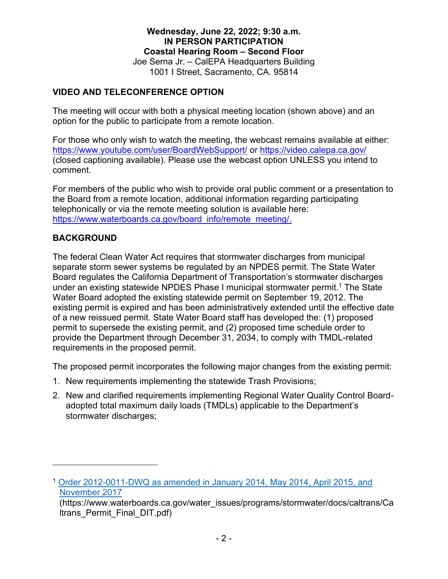**Wednesday, June 22, 2022; 9:30 a.m. IN PERSON PARTICIPATION Coastal Hearing Room – Second Floor** Joe Serna Jr. – CalEPA Headquarters Building 1001 I Street, Sacramento, CA. 95814

#### **VIDEO AND TELECONFERENCE OPTION**

The meeting will occur with both a physical meeting location (shown above) and an option for the public to participate from a remote location.

For those who only wish to watch the meeting, the webcast remains available at either: <https://www.youtube.com/user/BoardWebSupport/> or <https://video.calepa.ca.gov/> (closed captioning available). Please use the webcast option UNLESS you intend to comment.

For members of the public who wish to provide oral public comment or a presentation to the Board from a remote location, additional information regarding participating telephonically or via the remote meeting solution is available here: [https://www.waterboards.ca.gov/board\\_info/remote\\_meeting/.](https://www.waterboards.ca.gov/board_info/remote_meeting/)

## **BACKGROUND**

The federal Clean Water Act requires that stormwater discharges from municipal separate storm sewer systems be regulated by an NPDES permit. The State Water Board regulates the California Department of Transportation's stormwater discharges under an existing statewide NPDES Phase I municipal stormwater permit.<sup>[1](#page-1-0)</sup> The State Water Board adopted the existing statewide permit on September 19, 2012. The existing permit is expired and has been administratively extended until the effective date of a new reissued permit. State Water Board staff has developed the: (1) proposed permit to supersede the existing permit, and (2) proposed time schedule order to provide the Department through December 31, 2034, to comply with TMDL-related requirements in the proposed permit.

The proposed permit incorporates the following major changes from the existing permit:

- 1. New requirements implementing the statewide Trash Provisions;
- 2. New and clarified requirements implementing Regional Water Quality Control Boardadopted total maximum daily loads (TMDLs) applicable to the Department's stormwater discharges;

<span id="page-1-0"></span><sup>1</sup> [Order 2012-0011-DWQ as amended in January 2014, May 2014, April 2015, and](https://www.waterboards.ca.gov/water_issues/programs/stormwater/docs/caltrans/Caltrans_Permit_Final_DIT.pdf)  [November 2017](https://www.waterboards.ca.gov/water_issues/programs/stormwater/docs/caltrans/Caltrans_Permit_Final_DIT.pdf)

<sup>(</sup>https://www.waterboards.ca.gov/water\_issues/programs/stormwater/docs/caltrans/Ca ltrans\_Permit\_Final\_DIT.pdf)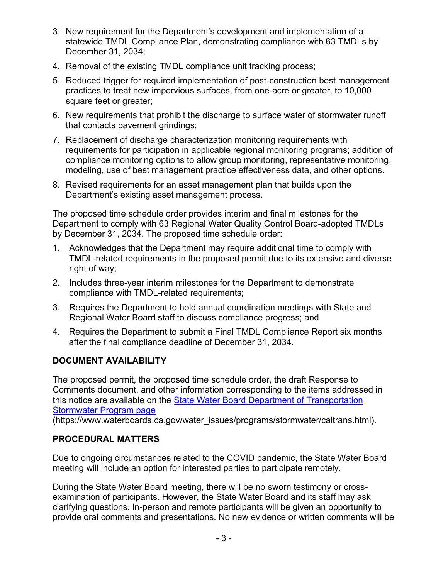- 3. New requirement for the Department's development and implementation of a statewide TMDL Compliance Plan, demonstrating compliance with 63 TMDLs by December 31, 2034;
- 4. Removal of the existing TMDL compliance unit tracking process;
- 5. Reduced trigger for required implementation of post-construction best management practices to treat new impervious surfaces, from one-acre or greater, to 10,000 square feet or greater;
- 6. New requirements that prohibit the discharge to surface water of stormwater runoff that contacts pavement grindings;
- 7. Replacement of discharge characterization monitoring requirements with requirements for participation in applicable regional monitoring programs; addition of compliance monitoring options to allow group monitoring, representative monitoring, modeling, use of best management practice effectiveness data, and other options.
- 8. Revised requirements for an asset management plan that builds upon the Department's existing asset management process.

The proposed time schedule order provides interim and final milestones for the Department to comply with 63 Regional Water Quality Control Board-adopted TMDLs by December 31, 2034. The proposed time schedule order:

- 1. Acknowledges that the Department may require additional time to comply with TMDL-related requirements in the proposed permit due to its extensive and diverse right of way;
- 2. Includes three-year interim milestones for the Department to demonstrate compliance with TMDL-related requirements;
- 3. Requires the Department to hold annual coordination meetings with State and Regional Water Board staff to discuss compliance progress; and
- 4. Requires the Department to submit a Final TMDL Compliance Report six months after the final compliance deadline of December 31, 2034.

## **DOCUMENT AVAILABILITY**

The proposed permit, the proposed time schedule order, the draft Response to Comments document, and other information corresponding to the items addressed in this notice are available on the State Water Board Department of Transportation [Stormwater Program page](https://www.waterboards.ca.gov/water_issues/programs/stormwater/caltrans.html)

(https://www.waterboards.ca.gov/water\_issues/programs/stormwater/caltrans.html).

## **PROCEDURAL MATTERS**

Due to ongoing circumstances related to the COVID pandemic, the State Water Board meeting will include an option for interested parties to participate remotely.

During the State Water Board meeting, there will be no sworn testimony or crossexamination of participants. However, the State Water Board and its staff may ask clarifying questions. In-person and remote participants will be given an opportunity to provide oral comments and presentations. No new evidence or written comments will be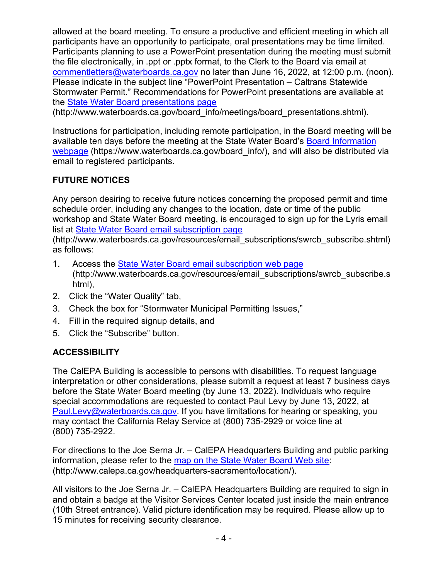allowed at the board meeting. To ensure a productive and efficient meeting in which all participants have an opportunity to participate, oral presentations may be time limited. Participants planning to use a PowerPoint presentation during the meeting must submit the file electronically, in .ppt or .pptx format, to the Clerk to the Board via email at [commentletters@waterboards.ca.gov](mailto:commentletters@waterboards.ca.gov) no later than June 16, 2022, at 12:00 p.m. (noon). Please indicate in the subject line "PowerPoint Presentation – Caltrans Statewide Stormwater Permit." Recommendations for PowerPoint presentations are available at the [State Water Board presentations page](http://www.waterboards.ca.gov/board_info/meetings/board_presentations.shtml)

(http://www.waterboards.ca.gov/board\_info/meetings/board\_presentations.shtml).

Instructions for participation, including remote participation, in the Board meeting will be available ten days before the meeting at the State Water Board's Board Information [webpage](https://www.waterboards.ca.gov/board_info) (https://www.waterboards.ca.gov/board info/), and will also be distributed via email to registered participants.

## **FUTURE NOTICES**

Any person desiring to receive future notices concerning the proposed permit and time schedule order, including any changes to the location, date or time of the public workshop and State Water Board meeting, is encouraged to sign up for the Lyris email list at [State Water Board email subscription](http://www.waterboards.ca.gov/resources/email_subscriptions/swrcb_subscribe.shtml) page

(http://www.waterboards.ca.gov/resources/email\_subscriptions/swrcb\_subscribe.shtml) as follows:

- 1. Access the [State Water Board email subscription web page](http://www.waterboards.ca.gov/resources/email_subscriptions/swrcb_subscribe.shtml) (http://www.waterboards.ca.gov/resources/email\_subscriptions/swrcb\_subscribe.s html),
- 2. Click the "Water Quality" tab,
- 3. Check the box for "Stormwater Municipal Permitting Issues,"
- 4. Fill in the required signup details, and
- 5. Click the "Subscribe" button.

#### **ACCESSIBILITY**

The CalEPA Building is accessible to persons with disabilities. To request language interpretation or other considerations, please submit a request at least 7 business days before the State Water Board meeting (by June 13, 2022). Individuals who require special accommodations are requested to contact Paul Levy by June 13, 2022, at [Paul.Levy@waterboards.ca.gov.](mailto:Paul.Levy@waterboards.ca.gov) If you have limitations for hearing or speaking, you may contact the California Relay Service at (800) 735-2929 or voice line at (800) 735-2922.

For directions to the Joe Serna Jr. – CalEPA Headquarters Building and public parking information, please refer to the [map on the State Water Board Web site](http://www.calepa.ca.gov/headquarters-sacramento/location): (http://www.calepa.ca.gov/headquarters-sacramento/location/).

All visitors to the Joe Serna Jr. – CalEPA Headquarters Building are required to sign in and obtain a badge at the Visitor Services Center located just inside the main entrance (10th Street entrance). Valid picture identification may be required. Please allow up to 15 minutes for receiving security clearance.